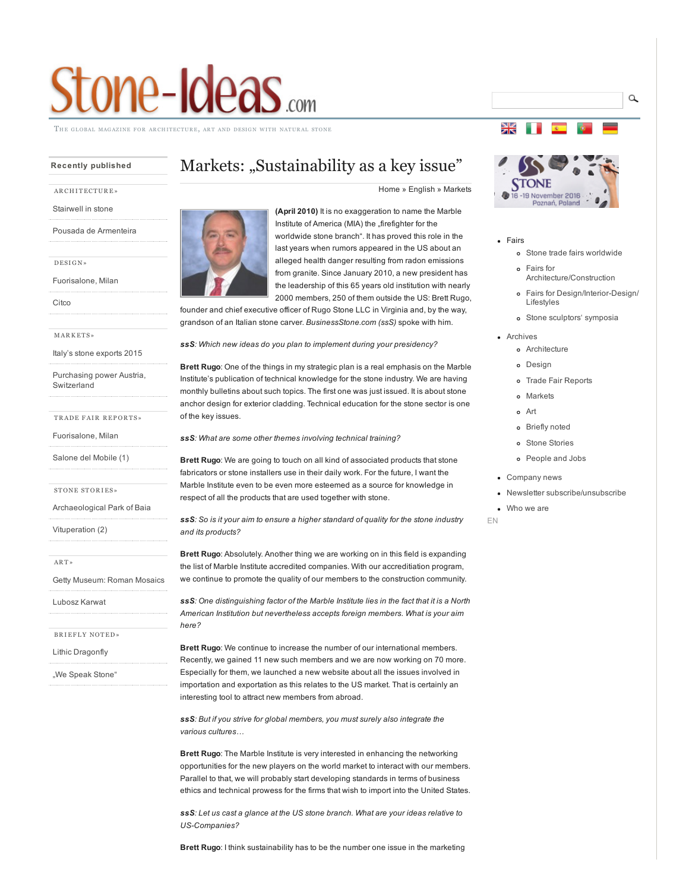# tone-Ideas.com

HE GLOBAL MAGAZINE FOR ARCHITECTURE, ART AND DESIGN WITH NATURAL

# Recently published

# AR CH I [TECT](http://www.stone-ideas.com/category/english/archives/archive-architecture/) UR E»

[Stairwell](http://www.stone-ideas.com/2016/05/28/stairwell-in-natural-stone-with-a-320-grade-twist/) in stone

Pousada de [Armenteira](http://www.stone-ideas.com/2016/05/13/reliefs-in-natural-stone-give-a-building-an-unmistakable-look-and-provide-work-for-skilled-craftsmen/)

[DESI](http://www.stone-ideas.com/category/english/archives/archive-design/) G N»

[Fuorisalone,](http://www.stone-ideas.com/2016/06/03/milan-as-world-capital-of-design/) Milan

[Citco](http://www.stone-ideas.com/2016/05/26/citco-at-this-years-salone-del-mobile-spectacular-art-work-in-natural-stone/)

M [AR](http://www.stone-ideas.com/category/english/archives/archive-markets/) K ET S»

Italy's stone [exports](http://www.stone-ideas.com/2016/05/06/italys-natural-stone-exports-2015-a-shining-performance-despite-difficult-times/) 2015

Purchasing power Austria, [Switzerland](http://www.stone-ideas.com/2016/04/24/gfk-releases-2016-purchasing-power-data-for-austria-and-switzerland/)

TR[ADE](http://www.stone-ideas.com/category/english/archives/archive-fairs/) FAIR REPORTS»

[Fuorisalone,](http://www.stone-ideas.com/2016/06/03/milan-as-world-capital-of-design/) Milan

[Salone](http://www.stone-ideas.com/2016/05/20/salone-del-mobile-1-natural-stone-amply-represented-and-even-visible/) del Mobile (1)

ST[ONE](http://www.stone-ideas.com/category/english/archives/stone-stories-archives/) STORIES»

[Archaeological](http://www.stone-ideas.com/2016/05/05/underwater-research-near-naples-the-marble-used-in-roman-villas-came-from-quarries-in-carrara-turkey-and-greece/) Park of Baia

[Vituperation](http://www.stone-ideas.com/2016/04/29/vituperation-2-the-stone-branch-should-present-itself-with-emphasis-on-muse-not-muscle/) (2)

[AR](http://www.stone-ideas.com/category/english/archives/archive-art/) T »

Getty [Museum:](http://www.stone-ideas.com/2016/05/10/roman-mosaics-across-the-empire-on-view-until-september-12-2016-at-the-j-paul-getty-museum-l-a/) Roman Mosaics

[Lubosz](http://www.stone-ideas.com/2016/05/08/modern-natural-stone-mosaic-in-a-warsaw-dwelling-complex/) Karwat

BRIEFLY [NOTED»](http://www.stone-ideas.com/category/english/archives/archive-briefly-noted/)

Lithic [Dragonfly](http://www.stone-ideas.com/2016/06/02/advanced-self-balancing-architecture-lithic-dragonfly/)

"We Speak [Stone"](http://www.stone-ideas.com/2016/06/01/50003/)

# Markets: "Sustainability as a key issue"

[Home](http://www.stone-ideas.com/) » [English](http://www.stone-ideas.com/english/) » [Markets](http://www.stone-ideas.com/category/english/archives/archive-markets/)



(April 2010) It is no exaggeration to name the Marble Institute of America (MIA) the "firefighter for the worldwide stone branch". It has proved this role in the last years when rumors appeared in the US about an alleged health danger resulting from radon emissions from granite. Since January 2010, a new president has the leadership of this 65 years old institution with nearly 2000 members, 250 of them outside the US: Brett Rugo,

founder and chief executive officer of Rugo Stone LLC in Virginia and, by the way, grandson of an Italian stone carver. *BusinessStone.com (ssS)* spoke with him.

*ssS: Which new ideas do you plan to implement during your presidency?*

Brett Rugo: One of the things in my strategic plan is a real emphasis on the Marble Institute's publication of technical knowledge for the stone industry. We are having monthly bulletins about such topics. The first one was just issued. It is about stone anchor design for exterior cladding. Technical education for the stone sector is one of the key issues.

*ssS: What are some other themes involving technical training?*

Brett Rugo: We are going to touch on all kind of associated products that stone fabricators or stone installers use in their daily work. For the future, I want the Marble Institute even to be even more esteemed as a source for knowledge in respect of all the products that are used together with stone.

*ssS: So is it your aim to ensure a higher standard of quality for the stone industry and its products?*

Brett Rugo: Absolutely. Another thing we are working on in this field is expanding the list of Marble Institute accredited companies. With our accreditiation program, we continue to promote the quality of our members to the construction community.

*ssS: One distinguishing factor of the Marble Institute lies in the fact that it is a North American Institution but nevertheless accepts foreign members. What is your aim here?*

Brett Rugo: We continue to increase the number of our international members. Recently, we gained 11 new such members and we are now working on 70 more. Especially for them, we launched a new website about all the issues involved in importation and exportation as this relates to the US market. That is certainly an interesting tool to attract new members from abroad.

*ssS: But if you strive for global members, you must surely also integrate the various cultures…*

Brett Rugo: The Marble Institute is very interested in enhancing the networking opportunities for the new players on the world market to interact with our members. Parallel to that, we will probably start developing standards in terms of business ethics and technical prowess for the firms that wish to import into the United States.

*ssS: Let us cast a glance at the US stone branch. What are your ideas relative to* US-Companies?

Brett Rugo: I think sustainability has to be the number one issue in the marketing



Poznań, Poland

Q

• Fairs

꾖

- Stone trade fairs [worldwide](http://www.stone-ideas.com/fairs/)
- Fairs for [Architecture/Construction](http://www.stone-ideas.com/fairs-for-architecture-design-fairs-2/)
- o Fairs for Design/Interior-Design/ Lifestyles
- Stone sculptors' [symposia](http://www.stone-ideas.com/sculptors-symposia-with-stone/)
- [Archives](http://www.stone-ideas.com/category/english/archives/)
	- [Architecture](http://www.stone-ideas.com/category/english/archives/archive-architecture/)
	- o [Design](http://www.stone-ideas.com/category/english/archives/archive-design/)
	- o Trade Fair [Reports](http://www.stone-ideas.com/category/english/archives/archive-fairs/)
	- [Markets](http://www.stone-ideas.com/category/english/archives/archive-markets/)
	- [Art](http://www.stone-ideas.com/category/english/archives/archive-art/)
	- [Briefly](http://www.stone-ideas.com/category/english/archives/archive-briefly-noted/) noted
	- Stone [Stories](http://www.stone-ideas.com/category/english/archives/stone-stories-archives/)
	- [People](http://www.stone-ideas.com/category/english/archives/peoplejobs-archives/) and Jobs
- [Company](http://www.stone-ideas.com/category/english/company-news/) news
- Newsletter [subscribe/unsubscribe](http://www.stone-ideas.com/newsletter_en/)
- [Who](http://www.stone-ideas.com/masthead/) we are

EN